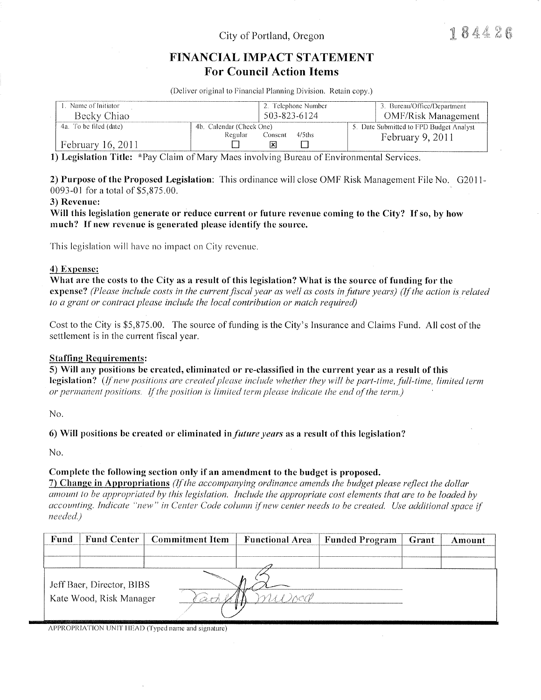# City of Portland, Oregon

184426

# FINANCIAL IMPACT STATEMENT **For Council Action Items**

(Deliver original to Financial Planning Division. Retain copy.)

| . Name of Initiator<br>Becky Chiao | 2. Telephone Number<br>503-823-6124 | 3. Bureau/Office/Department<br>OMF/Risk Management |  |
|------------------------------------|-------------------------------------|----------------------------------------------------|--|
| 4a. To be filed (date)             | 4b. Calendar (Check One)            | 5. Date Submitted to FPD Budget Analyst            |  |
| February 16, 2011                  | Regular<br>4/5ths<br>Consent        | February $9, 2011$                                 |  |

1) Legislation Title: \*Pay Claim of Mary Maes involving Bureau of Environmental Services.

2) Purpose of the Proposed Legislation: This ordinance will close OMF Risk Management File No. G2011-0093-01 for a total of \$5,875.00.

### 3) Revenue:

Will this legislation generate or reduce current or future revenue coming to the City? If so, by how much? If new revenue is generated please identify the source.

This legislation will have no impact on City revenue.

### 4) Expense:

What are the costs to the City as a result of this legislation? What is the source of funding for the expense? (Please include costs in the current fiscal year as well as costs in future years) (If the action is related to a grant or contract please include the local contribution or match required)

Cost to the City is \$5,875.00. The source of funding is the City's Insurance and Claims Fund. All cost of the settlement is in the current fiscal year.

### **Staffing Requirements:**

5) Will any positions be created, eliminated or re-classified in the current year as a result of this

legislation? (If new positions are created please include whether they will be part-time, full-time, limited term or permanent positions. If the position is limited term please indicate the end of the term.)

 $No.$ 

6) Will positions be created or eliminated in *future years* as a result of this legislation?

No.

### Complete the following section only if an amendment to the budget is proposed.

7) Change in Appropriations (If the accompanying ordinance amends the budget please reflect the dollar amount to be appropriated by this legislation. Include the appropriate cost elements that are to be loaded by accounting. Indicate "new" in Center Code column if new center needs to be created. Use additional space if needed.)

| Fund<br>Fund Center                                  | Commitment Item | <b>Functional Area</b> | <b>Funded Program</b> | Grant | Amount |
|------------------------------------------------------|-----------------|------------------------|-----------------------|-------|--------|
|                                                      |                 |                        |                       |       |        |
|                                                      |                 |                        |                       |       |        |
| Jeff Baer, Director, BIBS<br>Kate Wood, Risk Manager |                 |                        |                       |       |        |

APPROPRIATION UNIT HEAD (Typed name and signature)